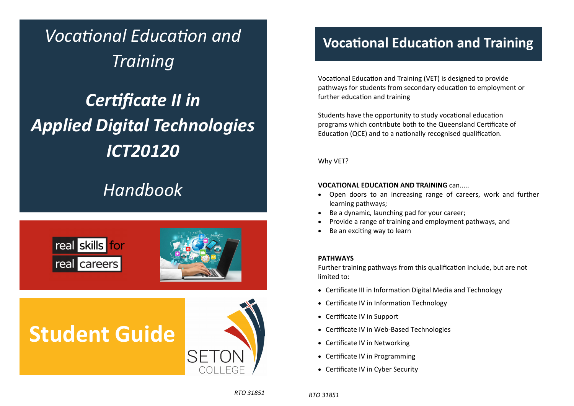*VocaƟonal EducaƟon and Training* 

# *CerƟficate II in Applied Digital Technologies ICT20120*

## *Handbook*



# **Student Guide**



### **VocaƟonal EducaƟon and Training**

Vocational Education and Training (VET) is designed to provide pathways for students from secondary education to employment or further education and training

Students have the opportunity to study vocational education programs which contribute both to the Queensland Certificate of Education (QCE) and to a nationally recognised qualification.

Why VET?

#### **VOCATIONAL EDUCATION AND TRAINING** can.....

- $\bullet$  Open doors to an increasing range of careers, work and further learning pathways;
- $\bullet$ Be <sup>a</sup> dynamic, launching pad for your career;
- $\bullet$ Provide <sup>a</sup> range of training and employment pathways, and
- $\bullet$ Be an exciting way to learn

#### **PATHWAYS**

Further training pathways from this qualification include, but are not limited to:

- Certificate III in Information Digital Media and Technology
- Certificate IV in Information Technology
- Certificate IV in Support
- Certificate IV in Web-Based Technologies
- Certificate IV in Networking
- Certificate IV in Programming
- Certificate IV in Cyber Security

*RTO 31851* 

*RTO 31851*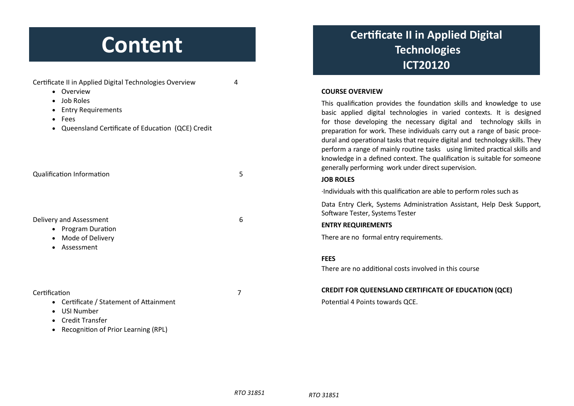# **Content**

| Certificate II in Applied Digital Technologies Overview<br>• Overview                                                                            | 4 | <b>COURSE OVERVIEW</b>                                                                                                                                                                                                                                                                                                                                                                                                                                                                                                                                                                                |
|--------------------------------------------------------------------------------------------------------------------------------------------------|---|-------------------------------------------------------------------------------------------------------------------------------------------------------------------------------------------------------------------------------------------------------------------------------------------------------------------------------------------------------------------------------------------------------------------------------------------------------------------------------------------------------------------------------------------------------------------------------------------------------|
| • Job Roles<br><b>Entry Requirements</b><br>$\bullet$<br>Fees<br>$\bullet$<br>Queensland Certificate of Education (QCE) Credit                   |   | This qualification provides the foundation skills and knowledge to use<br>basic applied digital technologies in varied contexts. It is designed<br>for those developing the necessary digital and technology skills in<br>preparation for work. These individuals carry out a range of basic proce-<br>dural and operational tasks that require digital and technology skills. They<br>perform a range of mainly routine tasks using limited practical skills and<br>knowledge in a defined context. The qualification is suitable for someone<br>generally performing work under direct supervision. |
| <b>Qualification Information</b>                                                                                                                 | 5 | <b>JOB ROLES</b>                                                                                                                                                                                                                                                                                                                                                                                                                                                                                                                                                                                      |
| Delivery and Assessment<br><b>Program Duration</b><br>$\bullet$<br>Mode of Delivery<br>Assessment<br>$\bullet$                                   |   | Individuals with this qualification are able to perform roles such as                                                                                                                                                                                                                                                                                                                                                                                                                                                                                                                                 |
|                                                                                                                                                  |   | Data Entry Clerk, Systems Administration Assistant, Help Desk Support,<br>Software Tester, Systems Tester                                                                                                                                                                                                                                                                                                                                                                                                                                                                                             |
|                                                                                                                                                  | 6 | <b>ENTRY REQUIREMENTS</b>                                                                                                                                                                                                                                                                                                                                                                                                                                                                                                                                                                             |
|                                                                                                                                                  |   | There are no formal entry requirements.                                                                                                                                                                                                                                                                                                                                                                                                                                                                                                                                                               |
|                                                                                                                                                  |   | <b>FEES</b>                                                                                                                                                                                                                                                                                                                                                                                                                                                                                                                                                                                           |
|                                                                                                                                                  |   | There are no additional costs involved in this course                                                                                                                                                                                                                                                                                                                                                                                                                                                                                                                                                 |
| Certification                                                                                                                                    | 7 | <b>CREDIT FOR QUEENSLAND CERTIFICATE OF EDUCATION (QCE)</b>                                                                                                                                                                                                                                                                                                                                                                                                                                                                                                                                           |
| • Certificate / Statement of Attainment<br>USI Number<br>$\bullet$<br><b>Credit Transfer</b><br>Recognition of Prior Learning (RPL)<br>$\bullet$ |   | Potential 4 Points towards QCE.                                                                                                                                                                                                                                                                                                                                                                                                                                                                                                                                                                       |

### **CerƟficate II in Applied Digital Technologies ICT20120**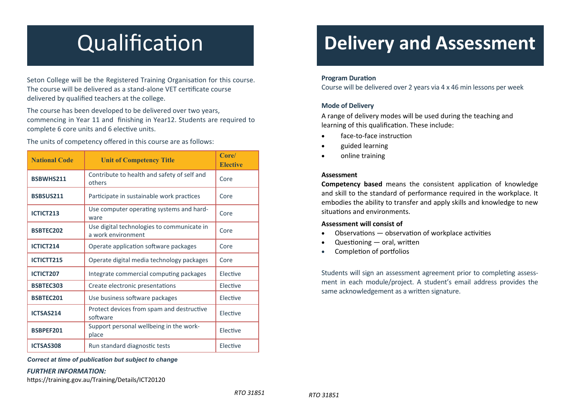# **Qualification**

Seton College will be the Registered Training Organisation for this course. The course will be delivered as a stand-alone VET certificate course delivered by qualified teachers at the college.

The course has been developed to be delivered over two years, commencing in Year 11 and finishing in Year12. Students are required to complete 6 core units and 6 elective units.

The units of competency <sup>o</sup>ffered in this course are as follows:

| <b>National Code</b> | <b>Unit of Competency Title</b>                                  | Core/<br><b>Elective</b> |
|----------------------|------------------------------------------------------------------|--------------------------|
| <b>BSBWHS211</b>     | Contribute to health and safety of self and<br>others            | Core                     |
| BSBSUS211            | Participate in sustainable work practices                        | Core                     |
| ICTICT213            | Use computer operating systems and hard-<br>ware                 | Core                     |
| <b>BSBTEC202</b>     | Use digital technologies to communicate in<br>a work environment | Core                     |
| ICTICT214            | Operate application software packages                            | Core                     |
| ICTICTT215           | Operate digital media technology packages                        | Core                     |
| ICTICT207            | Integrate commercial computing packages                          | Elective                 |
| <b>BSBTEC303</b>     | Create electronic presentations                                  | Elective                 |
| <b>BSBTEC201</b>     | Use business software packages                                   | Elective                 |
| ICTSAS214            | Protect devices from spam and destructive<br>software            | Elective                 |
| <b>BSBPEF201</b>     | Support personal wellbeing in the work-<br>place                 | Elective                 |
| ICTSAS308            | Run standard diagnostic tests                                    | Elective                 |

*Correct at time of publication but subject to change*

#### *FURTHER INFORMATION:*

https://training.gov.au/Training/Details/ICT20120

### **Delivery and Assessment**

#### **Program Duration**

Course will be delivered over 2 years via 4 <sup>x</sup> 46 min lessons per week

#### **Mode of Delivery**

A range of delivery modes will be used during the teaching and learning of this qualification. These include:

- $\bullet$ face‐to‐face instrucƟon
- $\bullet$ guided learning
- $\bullet$ online training

#### **Assessment**

**Competency based** means the consistent application of knowledge and skill to the standard of performance required in the workplace. It embodies the ability to transfer and apply skills and knowledge to new situations and environments.

#### **Assessment will consist of**

- $\bullet$ Observations  $-$  observation of workplace activities
- $\bullet$ Questioning — oral, written
- $\bullet$ Completion of portfolios

Students will sign an assessment agreement prior to completing assessment in each module/project. A student's email address provides the same acknowledgement as a written signature.